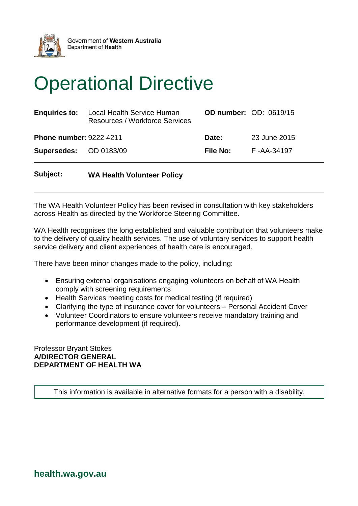

## Operational Directive

| <b>Enquiries to:</b>           | Local Health Service Human<br><b>Resources / Workforce Services</b> |                 | <b>OD number: OD: 0619/15</b> |
|--------------------------------|---------------------------------------------------------------------|-----------------|-------------------------------|
| <b>Phone number: 9222 4211</b> |                                                                     | Date:           | 23 June 2015                  |
| Supersedes: OD 0183/09         |                                                                     | <b>File No:</b> | F-AA-34197                    |

## **Subject: WA Health Volunteer Policy**

The WA Health Volunteer Policy has been revised in consultation with key stakeholders across Health as directed by the Workforce Steering Committee.

WA Health recognises the long established and valuable contribution that volunteers make to the delivery of quality health services. The use of voluntary services to support health service delivery and client experiences of health care is encouraged.

There have been minor changes made to the policy, including:

- Ensuring external organisations engaging volunteers on behalf of WA Health comply with screening requirements
- Health Services meeting costs for medical testing (if required)
- Clarifying the type of insurance cover for volunteers Personal Accident Cover
- Volunteer Coordinators to ensure volunteers receive mandatory training and performance development (if required).

Professor Bryant Stokes **A/DIRECTOR GENERAL DEPARTMENT OF HEALTH WA**

This information is available in alternative formats for a person with a disability.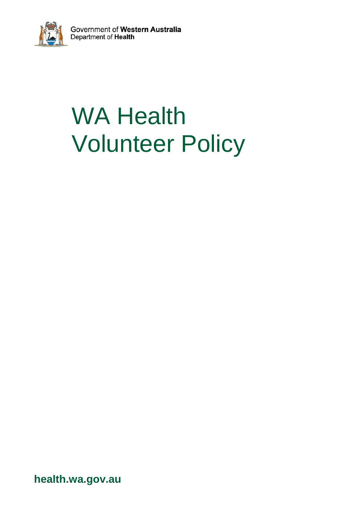

# WA Health Volunteer Policy

**health.wa.gov.au**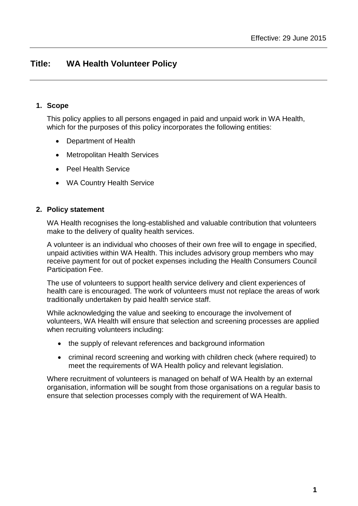## **Title: WA Health Volunteer Policy**

### **1. Scope**

This policy applies to all persons engaged in paid and unpaid work in WA Health, which for the purposes of this policy incorporates the following entities:

- Department of Health
- Metropolitan Health Services
- Peel Health Service
- WA Country Health Service

#### **2. Policy statement**

WA Health recognises the long-established and valuable contribution that volunteers make to the delivery of quality health services.

A volunteer is an individual who chooses of their own free will to engage in specified, unpaid activities within WA Health. This includes advisory group members who may receive payment for out of pocket expenses including the Health Consumers Council Participation Fee.

The use of volunteers to support health service delivery and client experiences of health care is encouraged. The work of volunteers must not replace the areas of work traditionally undertaken by paid health service staff.

While acknowledging the value and seeking to encourage the involvement of volunteers, WA Health will ensure that selection and screening processes are applied when recruiting volunteers including:

- the supply of relevant references and background information
- criminal record screening and working with children check (where required) to meet the requirements of WA Health policy and relevant legislation.

Where recruitment of volunteers is managed on behalf of WA Health by an external organisation, information will be sought from those organisations on a regular basis to ensure that selection processes comply with the requirement of WA Health.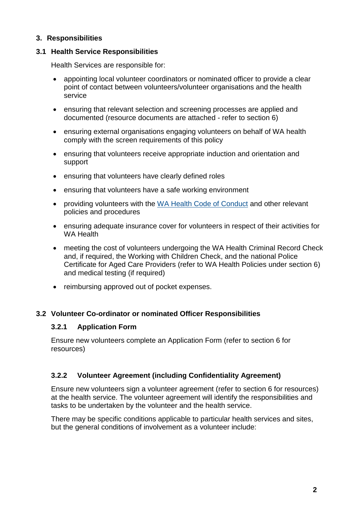## **3. Responsibilities**

## **3.1 Health Service Responsibilities**

Health Services are responsible for:

- appointing local volunteer coordinators or nominated officer to provide a clear point of contact between volunteers/volunteer organisations and the health service
- ensuring that relevant selection and screening processes are applied and documented (resource documents are attached - refer to section 6)
- ensuring external organisations engaging volunteers on behalf of WA health comply with the screen requirements of this policy
- ensuring that volunteers receive appropriate induction and orientation and support
- ensuring that volunteers have clearly defined roles
- ensuring that volunteers have a safe working environment
- providing volunteers with the [WA Health Code of Conduct](https://healthpoint.hdwa.health.wa.gov.au/integrity/codeofconduct/Pages/default.aspx) and other relevant policies and procedures
- ensuring adequate insurance cover for volunteers in respect of their activities for WA Health
- meeting the cost of volunteers undergoing the WA Health Criminal Record Check and, if required, the Working with Children Check, and the national Police Certificate for Aged Care Providers (refer to WA Health Policies under section 6) and medical testing (if required)
- reimbursing approved out of pocket expenses.

## **3.2 Volunteer Co-ordinator or nominated Officer Responsibilities**

#### **3.2.1 Application Form**

Ensure new volunteers complete an Application Form (refer to section 6 for resources)

## **3.2.2 Volunteer Agreement (including Confidentiality Agreement)**

Ensure new volunteers sign a volunteer agreement (refer to section 6 for resources) at the health service. The volunteer agreement will identify the responsibilities and tasks to be undertaken by the volunteer and the health service.

There may be specific conditions applicable to particular health services and sites, but the general conditions of involvement as a volunteer include: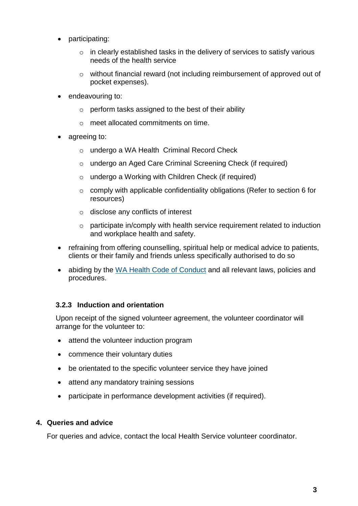- participating:
	- $\circ$  in clearly established tasks in the delivery of services to satisfy various needs of the health service
	- o without financial reward (not including reimbursement of approved out of pocket expenses).
- endeavouring to:
	- $\circ$  perform tasks assigned to the best of their ability
	- o meet allocated commitments on time.
- agreeing to:
	- o undergo a WA Health Criminal Record Check
	- o undergo an Aged Care Criminal Screening Check (if required)
	- $\circ$  undergo a Working with Children Check (if required)
	- $\circ$  comply with applicable confidentiality obligations (Refer to section 6 for resources)
	- o disclose any conflicts of interest
	- o participate in/comply with health service requirement related to induction and workplace health and safety.
- refraining from offering counselling, spiritual help or medical advice to patients, clients or their family and friends unless specifically authorised to do so
- abiding by the [WA Health Code of Conduct](https://healthpoint.hdwa.health.wa.gov.au/integrity/codeofconduct/Pages/default.aspx) and all relevant laws, policies and procedures.

## **3.2.3 Induction and orientation**

Upon receipt of the signed volunteer agreement, the volunteer coordinator will arrange for the volunteer to:

- attend the volunteer induction program
- commence their voluntary duties
- be orientated to the specific volunteer service they have joined
- attend any mandatory training sessions
- participate in performance development activities (if required).

## **4. Queries and advice**

For queries and advice, contact the local Health Service volunteer coordinator.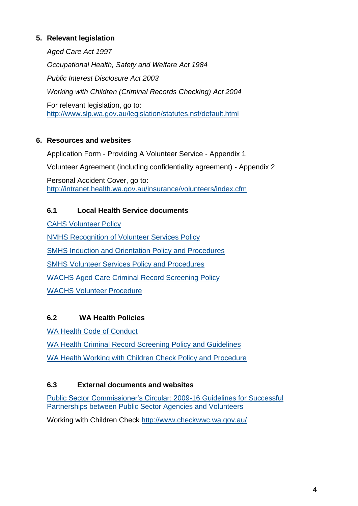## **5. Relevant legislation**

*Aged Care Act 1997 Occupational Health, Safety and Welfare Act 1984 Public Interest Disclosure Act 2003 Working with Children (Criminal Records Checking) Act 2004*  For relevant legislation, go to: <http://www.slp.wa.gov.au/legislation/statutes.nsf/default.html>

## **6. Resources and websites**

Application Form - Providing A Volunteer Service - Appendix 1 Volunteer Agreement (including confidentiality agreement) - Appendix 2 Personal Accident Cover, go to:

<http://intranet.health.wa.gov.au/insurance/volunteers/index.cfm>

## **6.1 Local Health Service documents**

[CAHS Volunteer Policy](https://healthpoint.hdwa.health.wa.gov.au/policies/Policies/CAHS/815CAHS.P.CORP.Volunteer.pdf)

[NMHS Recognition of Volunteer Services Policy](https://healthpoint.hdwa.health.wa.gov.au/policies/Policies/NMAHS/Corporate/NMHS%20Volunteer%20Services%20Policy.pdf)

[SMHS Induction and Orientation Policy and Procedures](https://healthpoint.hdwa.health.wa.gov.au/policies/Policies/SMAHS/SMHS/Induction%20Orientation%20Staff.pdf)

[SMHS Volunteer Services Policy and Procedures](https://healthpoint.hdwa.health.wa.gov.au/policies/Policies/SMAHS/SMHS/Volunteer%20Services.pdf)

[WACHS Aged Care Criminal](http://wachs.hdwa.health.wa.gov.au/index.php?id=7937) Record Screening Policy

[WACHS Volunteer Procedure](https://healthpoint.hdwa.health.wa.gov.au/policies/Policies/WACHS/Volunteer%20Procedure.pdf)

## **6.2 WA Health Policies**

[WA Health Code of Conduct](https://healthpoint.hdwa.health.wa.gov.au/integrity/codeofconduct/Pages/default.aspx)

[WA Health Criminal Record Screening Policy and Guidelines](http://www.health.wa.gov.au/circularsnew/circular.cfm?Circ_ID=12633) [WA Health Working with Children Check Policy and Procedure](http://www.health.wa.gov.au/circularsnew/circular.cfm?Circ_ID=13007)

## **6.3 External documents and websites**

[Public Sector Commissioner's Circular: 2009-16 Guidelines for Successful](http://www.publicsector.wa.gov.au/document/public-sector-commissioners-circular-2009-16-guidelines-successful-partnerships-between-public-sector-agencies-and-volunteers)  [Partnerships between Public Sector Agencies and Volunteers](http://www.publicsector.wa.gov.au/document/public-sector-commissioners-circular-2009-16-guidelines-successful-partnerships-between-public-sector-agencies-and-volunteers)

Working with Children Check<http://www.checkwwc.wa.gov.au/>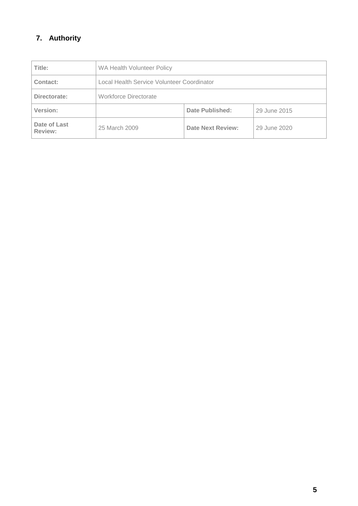## **7. Authority**

| Title:                  | WA Health Volunteer Policy                 |                          |              |
|-------------------------|--------------------------------------------|--------------------------|--------------|
| Contact:                | Local Health Service Volunteer Coordinator |                          |              |
| Directorate:            | Workforce Directorate                      |                          |              |
| Version:                |                                            | Date Published:          | 29 June 2015 |
| Date of Last<br>Review: | 25 March 2009                              | <b>Date Next Review:</b> | 29 June 2020 |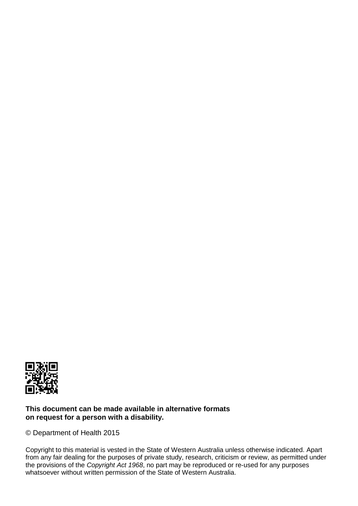

#### **This document can be made available in alternative formats on request for a person with a disability.**

© Department of Health 2015

Copyright to this material is vested in the State of Western Australia unless otherwise indicated. Apart from any fair dealing for the purposes of private study, research, criticism or review, as permitted under the provisions of the *Copyright Act 1968*, no part may be reproduced or re-used for any purposes whatsoever without written permission of the State of Western Australia.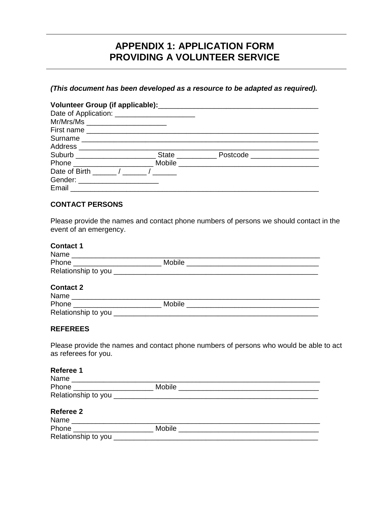## **APPENDIX 1: APPLICATION FORM PROVIDING A VOLUNTEER SERVICE**

**(This document has been developed as a resource to be adapted as required).** 

| Mr/Mrs/Ms ________________________ |                                                                   |  |
|------------------------------------|-------------------------------------------------------------------|--|
|                                    |                                                                   |  |
|                                    |                                                                   |  |
|                                    |                                                                   |  |
|                                    | Suburb Suburb State Postcode Communications of the State Postcode |  |
|                                    |                                                                   |  |
| Date of Birth ( )                  |                                                                   |  |
| Gender: ________________________   |                                                                   |  |
|                                    |                                                                   |  |

#### **CONTACT PERSONS**

Please provide the names and contact phone numbers of persons we should contact in the event of an emergency.

#### **Contact 1**

| Name                |        |  |
|---------------------|--------|--|
| Phone               | Mobile |  |
| Relationship to you |        |  |

#### **Contact 2**

| Name                |        |  |
|---------------------|--------|--|
| Phone               | Mobile |  |
| Relationship to you |        |  |

#### **REFEREES**

Please provide the names and contact phone numbers of persons who would be able to act as referees for you.

| Referee 1                     |            |  |
|-------------------------------|------------|--|
|                               |            |  |
| Phone _______________________ |            |  |
|                               |            |  |
| Referee 2                     |            |  |
|                               |            |  |
| Phone _______________________ | Mobile ___ |  |
| Relationship to you           |            |  |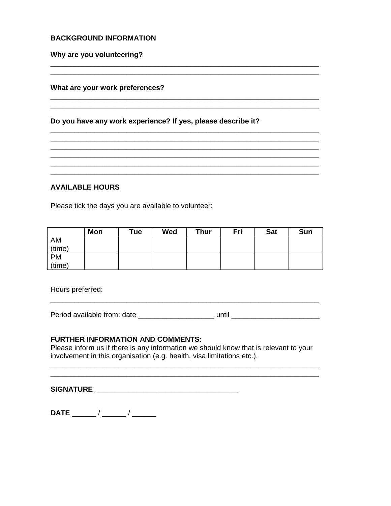#### **BACKGROUND INFORMATION**

Why are you volunteering?

#### What are your work preferences?

#### Do you have any work experience? If yes, please describe it?

**AVAILABLE HOURS** 

Please tick the days you are available to volunteer:

|           | Mon | Tue | Wed | Thur | Fri | <b>Sat</b> | Sun |
|-----------|-----|-----|-----|------|-----|------------|-----|
| AM        |     |     |     |      |     |            |     |
| (time)    |     |     |     |      |     |            |     |
| <b>PM</b> |     |     |     |      |     |            |     |
| (time)    |     |     |     |      |     |            |     |

<u> 2000 - Jan Barnett, mars ann an t-Amhraid ann an t-Amhraid ann an t-Amhraid ann an t-Amhraid ann an t-Amhraid </u>

Hours preferred:

Period available from: date \_\_\_\_\_\_\_\_\_\_\_\_\_\_\_\_\_\_\_\_\_\_\_ until \_\_\_\_\_\_\_\_\_\_\_\_\_\_\_\_\_\_\_\_\_\_

<u> 1989 - Johann Barn, mars ar gwelennau yn y cynnwys y cynnwys y cynnwys y cynnwys y cynnwys y cynnwys y cynnwy</u>

#### **FURTHER INFORMATION AND COMMENTS:**

Please inform us if there is any information we should know that is relevant to your involvement in this organisation (e.g. health, visa limitations etc.).

**SIGNATURE SIGNATURE**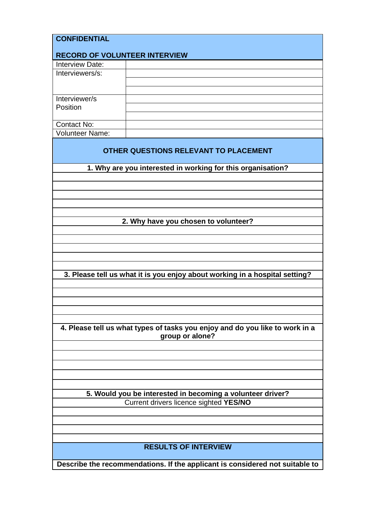| <b>CONFIDENTIAL</b>                                     |                                                                                                 |
|---------------------------------------------------------|-------------------------------------------------------------------------------------------------|
|                                                         |                                                                                                 |
| <b>RECORD OF VOLUNTEER INTERVIEW</b><br>Interview Date: |                                                                                                 |
| Interviewers/s:                                         |                                                                                                 |
|                                                         |                                                                                                 |
|                                                         |                                                                                                 |
| Interviewer/s                                           |                                                                                                 |
| Position                                                |                                                                                                 |
|                                                         |                                                                                                 |
| Contact No:                                             |                                                                                                 |
| <b>Volunteer Name:</b>                                  |                                                                                                 |
|                                                         | OTHER QUESTIONS RELEVANT TO PLACEMENT                                                           |
|                                                         | 1. Why are you interested in working for this organisation?                                     |
|                                                         |                                                                                                 |
|                                                         |                                                                                                 |
|                                                         |                                                                                                 |
|                                                         |                                                                                                 |
|                                                         |                                                                                                 |
|                                                         | 2. Why have you chosen to volunteer?                                                            |
|                                                         |                                                                                                 |
|                                                         |                                                                                                 |
|                                                         |                                                                                                 |
|                                                         |                                                                                                 |
|                                                         | 3. Please tell us what it is you enjoy about working in a hospital setting?                     |
|                                                         |                                                                                                 |
|                                                         |                                                                                                 |
|                                                         |                                                                                                 |
|                                                         |                                                                                                 |
|                                                         |                                                                                                 |
|                                                         | 4. Please tell us what types of tasks you enjoy and do you like to work in a<br>group or alone? |
|                                                         |                                                                                                 |
|                                                         |                                                                                                 |
|                                                         |                                                                                                 |
|                                                         |                                                                                                 |
|                                                         |                                                                                                 |
|                                                         | 5. Would you be interested in becoming a volunteer driver?                                      |
|                                                         | Current drivers licence sighted YES/NO                                                          |
|                                                         |                                                                                                 |
|                                                         |                                                                                                 |
|                                                         |                                                                                                 |
|                                                         | <b>RESULTS OF INTERVIEW</b>                                                                     |
|                                                         |                                                                                                 |
|                                                         | Describe the recommendations. If the applicant is considered not suitable to                    |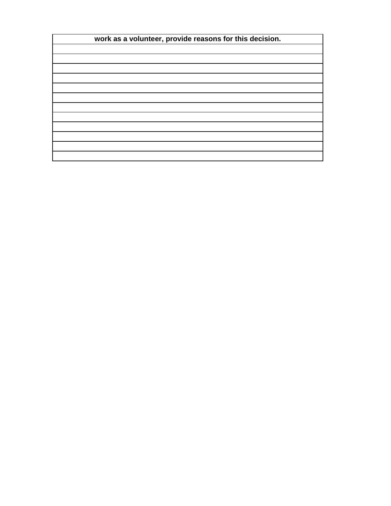| work as a volunteer, provide reasons for this decision. |  |
|---------------------------------------------------------|--|
|                                                         |  |
|                                                         |  |
|                                                         |  |
|                                                         |  |
|                                                         |  |
|                                                         |  |
|                                                         |  |
|                                                         |  |
|                                                         |  |
|                                                         |  |
|                                                         |  |
|                                                         |  |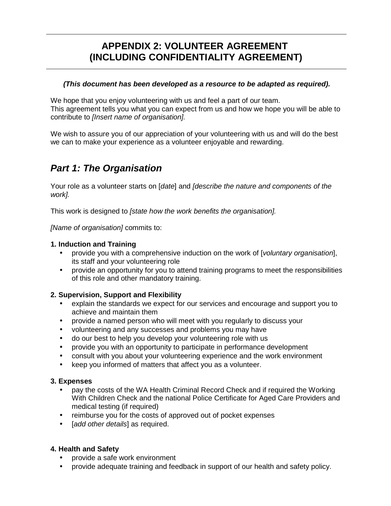## **APPENDIX 2: VOLUNTEER AGREEMENT (INCLUDING CONFIDENTIALITY AGREEMENT)**

#### **(This document has been developed as a resource to be adapted as required).**

We hope that you enjoy volunteering with us and feel a part of our team. This agreement tells you what you can expect from us and how we hope you will be able to contribute to [Insert name of organisation].

We wish to assure you of our appreciation of your volunteering with us and will do the best we can to make your experience as a volunteer enjoyable and rewarding.

## **Part 1: The Organisation**

Your role as a volunteer starts on [date] and [describe the nature and components of the work].

This work is designed to *[state how the work benefits the organisation]*.

[Name of organisation] commits to:

#### **1. Induction and Training**

- provide you with a comprehensive induction on the work of [voluntary organisation], its staff and your volunteering role
- provide an opportunity for you to attend training programs to meet the responsibilities of this role and other mandatory training.

#### **2. Supervision, Support and Flexibility**

- explain the standards we expect for our services and encourage and support you to achieve and maintain them
- provide a named person who will meet with you regularly to discuss your
- volunteering and any successes and problems you may have
- do our best to help you develop your volunteering role with us
- provide you with an opportunity to participate in performance development
- consult with you about your volunteering experience and the work environment
- keep you informed of matters that affect you as a volunteer.

#### **3. Expenses**

- pay the costs of the WA Health Criminal Record Check and if required the Working With Children Check and the national Police Certificate for Aged Care Providers and medical testing (if required)
- reimburse you for the costs of approved out of pocket expenses
- [add other details] as required.

#### **4. Health and Safety**

- provide a safe work environment
- provide adequate training and feedback in support of our health and safety policy.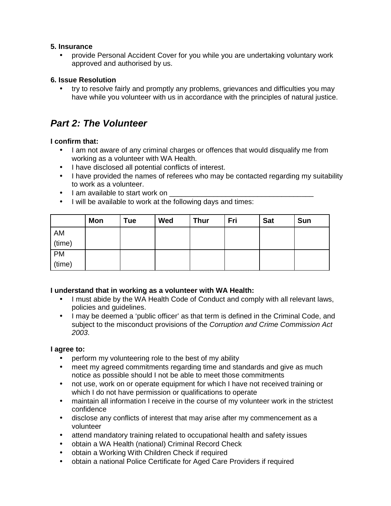#### **5. Insurance**

• provide Personal Accident Cover for you while you are undertaking voluntary work approved and authorised by us.

#### **6. Issue Resolution**

• try to resolve fairly and promptly any problems, grievances and difficulties you may have while you volunteer with us in accordance with the principles of natural justice.

## **Part 2: The Volunteer**

#### **I confirm that:**

- I am not aware of any criminal charges or offences that would disqualify me from working as a volunteer with WA Health.
- I have disclosed all potential conflicts of interest.
- I have provided the names of referees who may be contacted regarding my suitability to work as a volunteer.
- Lam available to start work on
- I will be available to work at the following days and times:

|        | <b>Mon</b> | Tue | Wed | <b>Thur</b> | Fri | <b>Sat</b> | Sun |
|--------|------------|-----|-----|-------------|-----|------------|-----|
| AM     |            |     |     |             |     |            |     |
| (time) |            |     |     |             |     |            |     |
| PM     |            |     |     |             |     |            |     |
| (time) |            |     |     |             |     |            |     |

#### **I understand that in working as a volunteer with WA Health:**

- I must abide by the WA Health Code of Conduct and comply with all relevant laws, policies and guidelines.
- I may be deemed a 'public officer' as that term is defined in the Criminal Code, and subject to the misconduct provisions of the Corruption and Crime Commission Act 2003.

#### **I agree to:**

- perform my volunteering role to the best of my ability
- meet my agreed commitments regarding time and standards and give as much notice as possible should I not be able to meet those commitments
- not use, work on or operate equipment for which I have not received training or which I do not have permission or qualifications to operate
- maintain all information I receive in the course of my volunteer work in the strictest confidence
- disclose any conflicts of interest that may arise after my commencement as a volunteer
- attend mandatory training related to occupational health and safety issues
- obtain a WA Health (national) Criminal Record Check
- obtain a Working With Children Check if required
- obtain a national Police Certificate for Aged Care Providers if required